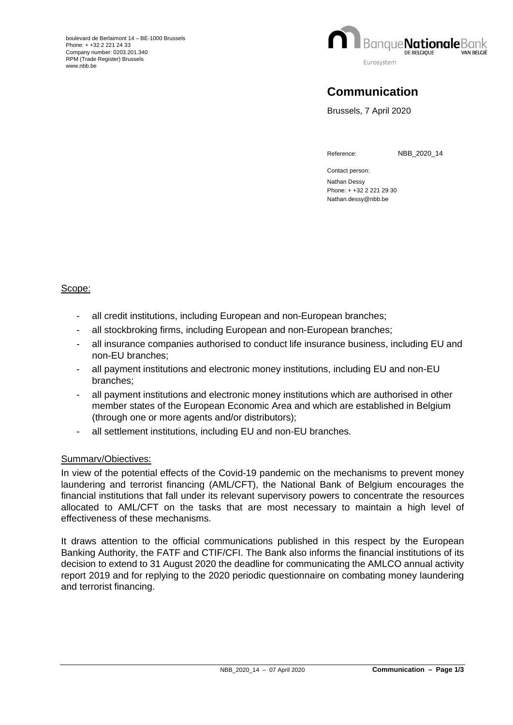

## **Communication**

Brussels, 7 April 2020

Reference: NBB\_2020\_14

Contact person: Nathan Dessy Phone: + +32 2 221 29 30 Nathan.dessy@nbb.be

## Scope:

- all credit institutions, including European and non-European branches;
- all stockbroking firms, including European and non-European branches;
- all insurance companies authorised to conduct life insurance business, including EU and non-EU branches;
- all payment institutions and electronic money institutions, including EU and non-EU branches;
- all payment institutions and electronic money institutions which are authorised in other member states of the European Economic Area and which are established in Belgium (through one or more agents and/or distributors);
- all settlement institutions, including EU and non-EU branches.

## Summarv/Obiectives:

In view of the potential effects of the Covid-19 pandemic on the mechanisms to prevent money laundering and terrorist financing (AML/CFT), the National Bank of Belgium encourages the financial institutions that fall under its relevant supervisory powers to concentrate the resources allocated to AML/CFT on the tasks that are most necessary to maintain a high level of effectiveness of these mechanisms.

It draws attention to the official communications published in this respect by the European Banking Authority, the FATF and CTIF/CFI. The Bank also informs the financial institutions of its decision to extend to 31 August 2020 the deadline for communicating the AMLCO annual activity report 2019 and for replying to the 2020 periodic questionnaire on combating money laundering and terrorist financing.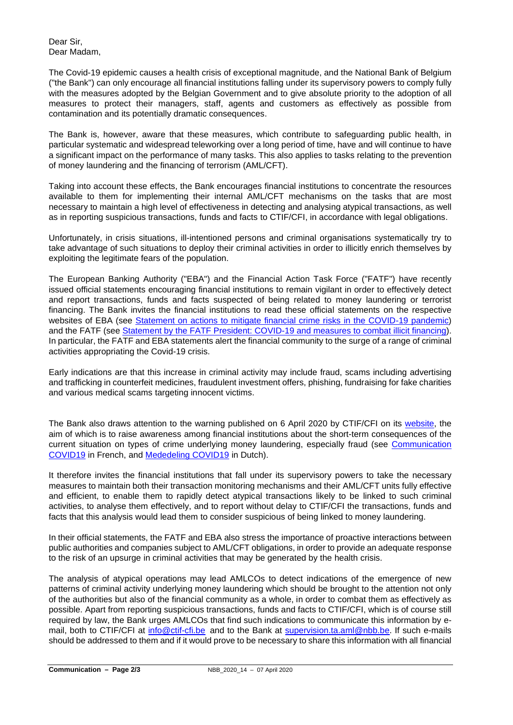Dear Sir, Dear Madam,

The Covid-19 epidemic causes a health crisis of exceptional magnitude, and the National Bank of Belgium ("the Bank") can only encourage all financial institutions falling under its supervisory powers to comply fully with the measures adopted by the Belgian Government and to give absolute priority to the adoption of all measures to protect their managers, staff, agents and customers as effectively as possible from contamination and its potentially dramatic consequences.

The Bank is, however, aware that these measures, which contribute to safeguarding public health, in particular systematic and widespread teleworking over a long period of time, have and will continue to have a significant impact on the performance of many tasks. This also applies to tasks relating to the prevention of money laundering and the financing of terrorism (AML/CFT).

Taking into account these effects, the Bank encourages financial institutions to concentrate the resources available to them for implementing their internal AML/CFT mechanisms on the tasks that are most necessary to maintain a high level of effectiveness in detecting and analysing atypical transactions, as well as in reporting suspicious transactions, funds and facts to CTIF/CFI, in accordance with legal obligations.

Unfortunately, in crisis situations, ill-intentioned persons and criminal organisations systematically try to take advantage of such situations to deploy their criminal activities in order to illicitly enrich themselves by exploiting the legitimate fears of the population.

The European Banking Authority ("EBA") and the Financial Action Task Force ("FATF") have recently issued official statements encouraging financial institutions to remain vigilant in order to effectively detect and report transactions, funds and facts suspected of being related to money laundering or terrorist financing. The Bank invites the financial institutions to read these official statements on the respective websites of EBA (see [Statement on actions to mitigate financial crime risks in the COVID-19 pandemic\)](https://eba.europa.eu/sites/default/documents/files/document_library/News%20and%20Press/Press%20Room/Press%20Releases/2020/EBA%20provides%20additional%20clarity%20on%20measures%20to%20mitigate%20the%20impact%20of%20COVID-19%20on%20the%20EU%20banking%20sector/Statement%20on%20actions%20to%20mitigate%20financial%20crime%20risks%20in%20the%20COVID-19%20pandemic.pdf) and the FATF (see Statement by the FATF President: [COVID-19 and measures to combat illicit financing\)](https://www.fatf-gafi.org/publications/fatfgeneral/documents/statement-covid-19.html). In particular, the FATF and EBA statements alert the financial community to the surge of a range of criminal activities appropriating the Covid-19 crisis.

Early indications are that this increase in criminal activity may include fraud, scams including advertising and trafficking in counterfeit medicines, fraudulent investment offers, phishing, fundraising for fake charities and various medical scams targeting innocent victims.

The Bank also draws attention to the warning published on 6 April 2020 by CTIF/CFI on its [website,](https://ctif-cfi.be/website/index.php?option=com_content&view=article&id=238&catid=35&Itemid=145&lang=fr) the aim of which is to raise awareness among financial institutions about the short-term consequences of the current situation on types of crime underlying money laundering, especially fraud (see [Communication](https://ctif-cfi.be/website/index.php?option=com_content&view=article&id=238&catid=35&Itemid=145&lang=fr) [COVID19](https://ctif-cfi.be/website/index.php?option=com_content&view=article&id=238&catid=35&Itemid=145&lang=fr) in French, and [Mededeling](https://www.ctif-cfi.be/website/index.php?option=com_content&view=article&id=238&catid=35&Itemid=145&lang=nl&jjj=1586169401405) COVID19 in Dutch).

It therefore invites the financial institutions that fall under its supervisory powers to take the necessary measures to maintain both their transaction monitoring mechanisms and their AML/CFT units fully effective and efficient, to enable them to rapidly detect atypical transactions likely to be linked to such criminal activities, to analyse them effectively, and to report without delay to CTIF/CFI the transactions, funds and facts that this analysis would lead them to consider suspicious of being linked to money laundering.

In their official statements, the FATF and EBA also stress the importance of proactive interactions between public authorities and companies subject to AML/CFT obligations, in order to provide an adequate response to the risk of an upsurge in criminal activities that may be generated by the health crisis.

The analysis of atypical operations may lead AMLCOs to detect indications of the emergence of new patterns of criminal activity underlying money laundering which should be brought to the attention not only of the authorities but also of the financial community as a whole, in order to combat them as effectively as possible. Apart from reporting suspicious transactions, funds and facts to CTIF/CFI, which is of course still required by law, the Bank urges AMLCOs that find such indications to communicate this information by email, both to CTIF/CFI at [info@ctif-cfi.be](mailto:info@ctif-cfi.be) and to the Bank at [supervision.ta.aml@nbb.be.](mailto:supervision.ta.aml@nbb.be) If such e-mails should be addressed to them and if it would prove to be necessary to share this information with all financial